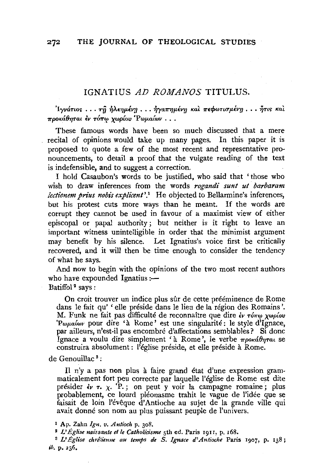## IGNATIUS AD ROMANOS TITULUS.

'Iyváτιος  $\ldots$  τη ήλεημένη  $\ldots$  ήγαπημένη και πεφωτισμένη  $\ldots$  ήτις και  $\pi$ ροκάθηται έν τόπω γωρίου 'Ρωμαίων...

These famous words have been so much discussed that a mere recital of opinions would take up many pages. In this paper it is proposed to quote a few of the most recent and representative pronouncements, to detail a proof that the vulgate reading of the text is indefensible, and to suggest a correction.

I hold Casaubon's words to be justified, who said that 'those who wish to draw inferences from the words *rogandi sunt ut barbaram lectionem prius nobis explicent* '.1 He objected to Bellarmine's inferences, but his protest cuts more ways than he meant. If the words are corrupt they cannot be used in favour of a maximist view of either episcopal or papal authority; but neither is it right to leave an important witness unintelligible in order that the minimist argument may benefit by his silence. Let Ignatius's voice first be critically recovered, and it will then be time enough to consider the tendency of what he says.

And now to begin with the opinions of the two most recent authors who have expounded Ignatius: $\leftarrow$ Batiffol<sup>2</sup> says:

On croit trouver un indice plus sûr de cette prééminence de Rome dans le fait qu' 'elle preside dans le lieu de la region des Romains '. M. Funk ne fait pas difficulté de reconnaître que dire  $\partial v \tau \partial \tau \psi$  xwplov 'Pwpalwv pour dire 'à Rome' est une singularité : le style d'Ignace, par ailleurs, n'est-il pas encombré d'affectations semblables? Si donc Ignace a voulu dire simplement 'à Rome', le verbe  $\pi \rho \circ \alpha \circ \theta \eta \tau \circ \alpha$  se construira absolument : l'eglise preside, et elle preside a Rome.

de Genouillac<sup>3</sup>:

II n'y a pas non plus a faire grand etat d'une expression grammaticalement fort peu correcte par laquelle l'eglise de Rome est dite presider *€v* T. X· 'P.; on peut y voir la campagne romaine; plus probablement, ce lourd pléonasme trahit le vague de l'idée que se faisait de loin l'évêque d'Antioche au sujet de la grande ville qui avait donné son nom au plus puissant peuple de l'univers.

1 Ap. Zahn *lgn. v. Antioch* p. 308. 2 *L' Eglise naissante et le Catholicisme* 5th ed. Paris 19u, p. 168. 8 *L'Eglise ch1i!ienne au temps de S. lgnace d'Antioche* Paris 1907, p. 138; *ib.* p. 236.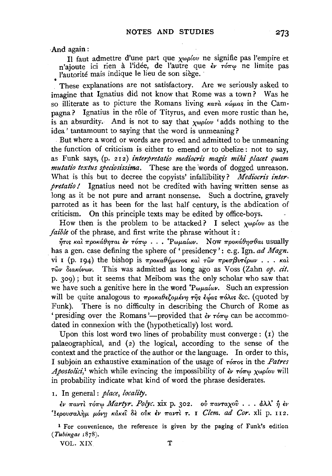**·And** again:

**n** faut admettre d'une part que *xwpfov* ne signifie pas !'empire et n'ajoute ici rien à l'idée, de l'autre que *le rome* ne limite pas l'autorité mais indique le lieu de son siège.

These explanations are not satisfactory. Are we seriously asked to imagine that Ignatius did not know that Rome was a town? Was he so illiterate as to picture the Romans living *κατα κώμας* in the Campagna? Ignatius in the rôle of Tityrus, and even more rustic than he, is an absurdity. And is not to say that *xwpfov* 'adds nothing to the idea' tantamount to saying that the word is unmeaning?

. But where a word or words are proved and admitted to be unmeaning the function of criticism is either to emend or to obelize : not to say, as Funk says, (p. 212) *interpretatio mediocris magis mihi placet quam mutatio textus speciosissima.* These are the 'words of dogged unreason. What is this but to decree the copyists' infallibility? Mediocris inter*pretatio I* Ignatius need not be credited with having written sense as long as it be not pure and arrant nonsense. Such a doctrine, gravely parroted as it has been for the last half century, is the abdication of criticism. On this principle texts may be edited by office-boys.

How then is the problem to be attacked? I select  $\chi_{\omega\rho}$  as the *faible* of the phrase, and first write the phrase without it :

 $\tilde{\eta}$ τις και προκάθηται έν τόπω . . . 'Ρωμαίων. Now προκάθησθαι usually has a gen. case defining the sphere of 'presidency': e. g. Ign. *ad Magn.*  vi I (p. 194) the bishop is  $\pi \rho$ oka $\theta \eta$ μενos και των πρεσβυτέρων . . . και *Twv oiaKovwv.* This was admitted as long ago as Voss (Zahn *op. cit.*  p. 309); but it seems that Meibom was the only scholar who saw that we have such a genitive here in the word *'Pwµa{wv.* Such an expression will be quite analogous to προκαθεζομένη της έψας πόλις &c. (quoted by Funk). There is no difficulty in describing the Church of Rome as ' presiding over the Romans'—provided that  $\partial v \tau \partial \tau \varphi$  can be accommodated in connexion with the (hypothetically) lost word.

Upon this lost word two lines of probability must converge:  $(i)$  the palaeographical, and (2) the logical, according to the sense of the context and the practice of the author or the language. In order to this, I subjoin an exhaustive examination of the usage of  $\tau$ *ó* $\tau$ *os* in the *Patres Apostolici*,<sup>1</sup> which while evincing the impossibility of  $\partial v \to \partial \pi \omega$  *xwplov* will in probability indicate what kind of word the phrase desiderates.

1. In general: *place, locality.* 

*<u></u>εν παντί τόπω Martyr. Polyc. xix p. 302. ov πανταχού... αλλ' ή εν* '1£pov<raA~JL *JLOVYJ KUK£L* of: *OVK lv 7raV'Tt 'T.* I *Clem. ad Cor.* xii p. II 2.

**<sup>l</sup>**For convenience, the reference is given by the paging of Funk's edition ( *Tubingae* 1878).

VOL. XIX T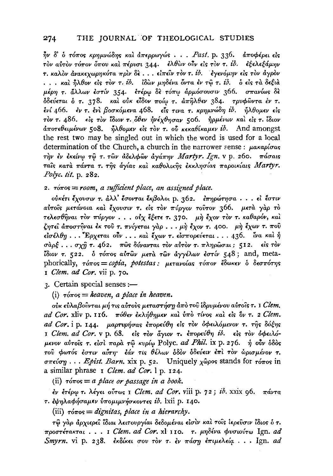$\frac{1}{2}$ ν δ' δ τόπος κρημνώδης και άπερρωγώς... Past. p. 336. άποφέρει είς τον αύτον τόπον όπου και πέρυσι 344. ελθών ούν είς τον τ. ib. εξελεξάμην τ. καλόν άνακεχωρηκότα πρίν δε... είπειν τον τ. ib. εγενόμην είς τον άγρον ... και ήλθον είς τον τ. ib. ίδων μηδένα όντα έν τω τ. ib. ο είς τα δεξια μέρη τ. άλλων έστίν 354. έτέρω δε τόπω αρμόσουσιν 366. σπανίως δε δδεύεται δ τ. 378. και ούκ είδον ποίω τ. άπηλθεν 384. τρυφώντα έν τ. ένί 466. εν τ. ένι βοσκόμενα 468. είς τινα τ. κρημνώδη ib. ήλθομεν είς τον τ. 486. είς τον ίδιον τ. όθεν ήνέχθησαν 506. ήρμένων και είς τ. ίδιον  $\hat{a}\pi$ οτεθειμένων 508.  $\hat{\eta}\lambda\theta$ ομεν είς τὸν τ. οὗ κεκαθίκαμεν ib. And amongst the rest two may be singled out in which the word is used for a local determination of the Church, a church in the narrower sense: μακαρίσας την έν έκείνω τω τ. των άδελφων άγάπην Martyr. Ign. v p. 260. πάσαις ταίς κατά πάντα τ. της άγίας και καθολικής εκκλησίας παροικίαις Martyr. Polyc. tit. p. 282.

2.  $\tau$ ó $\tau$ os = room, a sufficient place, an assigned place.

ούκέτι έχουσιν τ. άλλ' έσονται έκβολοι p. 362. επηρώτησα... εί έστιν αύτοῖς μετάνοια καὶ ἔχουσιν τ, εἰς τὸν πύργον τοῦτον 366, μετὰ γὰρ τὸ τελεσθήναι τον πύργον... ούχ έξετε τ. 370. μη έχον τον τ. καθαρόν, και ζητεί αποστήναι έκ του τ. πνίγεται γάρ... μη έχον τ. 400. μη έχων τ. που είσέλθη... Έρχεται ούν... και έχων τ. είσπορεύεται... 436. Γνα και ή σάρξ... σχή τ. 462. πως δύνανται τον αύτον τ. πληρώσαι; 512. είς τον ίδιον τ. 522. δ τόπος αύτων μετά των άγγέλων έστίν 548; and, metaphorically,  $\tau$ όπος = copia, potestas: μετανοίας τόπον έδωκεν ο δεσπότης I Clem. ad Cor. vii p. 70.

3. Certain special senses :-

(i)  $\tau$ *o* $\tau$ *os* = *heaven*, *a place in heaven*.

ούκ εύλαβούνται μή τις αύτούς μεταστήση άπό του ίδρυμένου αύτοις τ. 1 Clem. ad Cor. xliv p. 116. πόθεν εκλήθημεν και ύπο τίνος και είς δν τ. 2 Clem. ad Cor. i p. 144. μαρτυρήσας επορεύθη είς τον όφειλόμενον τ. της δόξης I Clem. ad Cor. v p. 68. είς τον άγιον τ. επορεύθη ib. είς τον όφειλόμενον αύτοις τ. είσι παρά τω κυρίω Polyc. ad Phil. ix p. 276. ή ούν όδος του φωτός έστιν αύτη· έάν τις θέλων όδον όδεύειν έπι τον ώρισμένον τ.  $\sigma \pi \epsilon \omega \sigma \eta$ ... *Epist. Barn.* xix p. 52. Uniquely  $\chi \omega \rho \sigma s$  stands for  $\tau \omega \sigma s$  in a similar phrase I Clem. ad Cor. 1 p. 124.

(ii)  $\tau$ *o* $\tau$ *os* = *a place or passage in a book.* 

έν έτέρω τ. λέγει ούτως 1 Clem. ad Cor. viii p. 72; ib. xxix 96. πάντα τ. έψηλαφήσαμεν ύπομιμνήσκοντες ib. 1xii p. 140.

(iii)  $\tau$ *o* $\tau$ os = *dignitas*, *place in a hierarchy*.

τώ γαρ άρχιερεί ίδιαι λειτουργίαι δεδομέναι είσιν και τοίς ιερεύσιν ίδιος ο τ. προστέτακται ... I Clem. ad Cor. xl 110. τ. μηδένα φυσιούτω Ign. ad Smyrn. vi p. 238. εκδίκει σου τον τ. έν πάση επιμελεία ... Ign. ad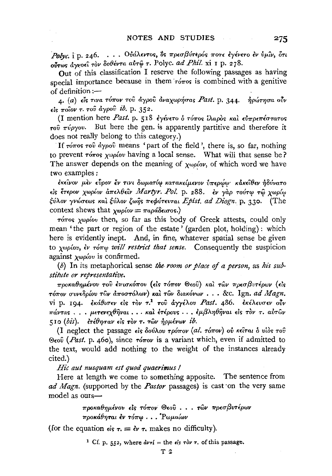*Polyc.* i p. 246. . . . Ουάλεντος, ος πρεσβύτερός ποτε εγένετο εν υμίν. ότι *WrW>* d.'}'l!O(t *TOV oo(Uvra* avr~ *r.* Polyc. *ad Phil.* xi I P· 278.

Out of this classification I reserve the following passages as having special importance because in them  $\tau$ *ó* $\tau$ *os* is combined with a genitive  $of$  definition :-

**4.** (a) είς τινα τόπον του άγρου άναχωρήσας Past. p. 344. *ήρώτησα ούν* (1> *7roZov r. rov &.ypov ib.* p. 352.

**(I mention here** *Past.* **p. 518** *J:ylv£To* **0** *T6?roS' iAapOs Kal £Vtrp£7rl<rTaTO'i*   $\tau$ <sup>00</sup>  $\pi\dot{\nu}$ *pyov.* But here the gen. is apparently partitive and therefore it does not really belong to this category.)

·If *r67ro> rov &.ypov* means 'part of the field ', there is, so far, nothing to prevent  $\tau$ *ó* $\tau$ *os*  $\chi$ *w* $\rho$ *iov* having a local sense. What will that sense be? The answer depends on the meaning of *xwp{ov,* of which word we have two examples:

 $\epsilon$ κείνον μεν εύρον έν τινι δωματίω κατακείμενον ύπερώω· κάκείθεν ήδύνατο  $\epsilon$ *is επερον χωρίον απελθείν Martyr. Pol.* p. 288. *εν γαρ τούτω τω χωρίω ξύλον γνώσεως και ξύλον ζωής πεφύτευται Epist. ad Diogn.* p. 330. (The context shews that  $\chi_{\omega\rho\acute{o}\nu} = \pi a \rho \acute{a} \delta \epsilon_{\alpha\sigma}$ .

*r67ro> xwp{ov* then, so far as this body of Greek attests, could only mean 'the part or region of the estate ' (garden plot, holding) : which here is evidently inept. And, in fine, whatever spatial sense be given to *xwp{ov, lv r67r<p will restrict that sense.* Consequently the suspicion against *xwp{ov* is confirmed.

(b) In its metaphorical sense *the. room or place* of *a person,* as *his substitute or representative.* 

*7rpoKa8'1}µ,lvov rov £mcrK67rov* (ds *r67rov ®wv) Kat rwv 7rp(cr{3vrlpwv* (ds *r67rov crvvd)p{ov Twv &.7rocrT6A.wv) Kat Twv oiaK6vwv* ••• &c. Ign. *ad Magn.*  vi p. 194. *εκάθισεν είς τον τ.<sup>1</sup> του άγγέλου Past.* 486. εκέλευσεν ούν *πάντας...μετενεχθήναι... και ετέρους... εμβληθήναι είς τον τ. αυτών* 510 *(bis).* ετέθησαν είς τον τ. των ήρμένων ib.

(I neglect the passage *είς δούλου τρόπον* (al. τόπον) ού κείται ο *νίος του*  $\Theta_{\epsilon 0}$  (*Past.* p. 460), since  $\tau \delta \pi \nu$  is a variant which, even if admitted to the text, would add nothing to the weight of the instances already cited.)

*Hie aut nusquam est quod quaerimus I* 

Here at length we come to something apposite. The sentence from ad Magn. (supported by the *Pastor* passages) is cast on the very same model as ours-

> $\pi$ ροκαθημένου είς τόπον **Θεο**ύ ... τῶν πρεσβυτέρων *1TpoK&.8'1}Tat lv* T6mi> ••• *'Pwµ,a{wv*

(for the equation  $\epsilon \, \epsilon \, \tau = \epsilon \, \nu \, \tau$ , makes no difficulty).

<sup>1</sup> Cf. p. 552, where  $\frac{dy\tau i}{dt}$  = the  $\epsilon$ *ls*  $\tau \frac{dy}{dt}$ , of this passage.